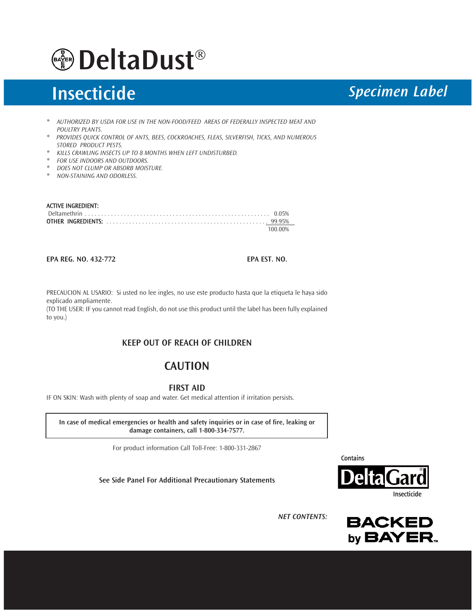

# Insecticide *Specimen Label*

- *\* AUTHORIZED BY USDA FOR USE IN THE NON-FOOD/FEED AREAS OF FEDERALLY INSPECTED MEAT AND POULTRY PLANTS.*
- *\* PROVIDES QUICK CONTROL OF ANTS, BEES, COCKROACHES, FLEAS, SILVERFISH, TICKS, AND NUMEROUS STORED PRODUCT PESTS.*
- *\* KILLS CRAWLING INSECTS UP TO 8 MONTHS WHEN LEFT UNDISTURBED.*
- *\* FOR USE INDOORS AND OUTDOORS.*
- *\* DOES NOT CLUMP OR ABSORB MOISTURE.*
- *\* NON-STAINING AND ODORLESS.*

#### ACTIVE INGREDIENT:

| 100 00% |
|---------|

EPA REG. NO. 432-772 EPA EST. NO.

PRECAUCION AL USARIO: Si usted no lee ingles, no use este producto hasta que la etiqueta le haya sido explicado ampliamente.

(TO THE USER: IF you cannot read English, do not use this product until the label has been fully explained to you.)

### KEEP OUT OF REACH OF CHILDREN

## **CAUTION**

FIRST AID

IF ON SKIN: Wash with plenty of soap and water. Get medical attention if irritation persists.

In case of medical emergencies or health and safety inquiries or in case of fire, leaking or damage containers, call 1-800-334-7577.

For product information Call Toll-Free: 1-800-331-2867

See Side Panel For Additional Precautionary Statements

**Contains** 



*NET CONTENTS:* 

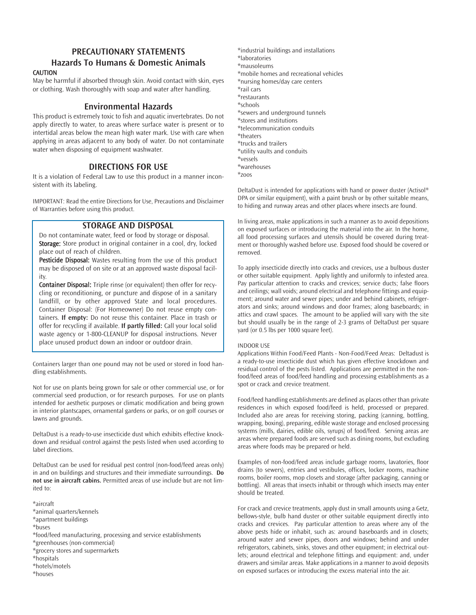# PRECAUTIONARY STATEMENTS

#### Hazards To Humans & Domestic Animals **CAUTION**

May be harmful if absorbed through skin. Avoid contact with skin, eyes or clothing. Wash thoroughly with soap and water after handling.

### Environmental Hazards

This product is extremely toxic to fish and aquatic invertebrates. Do not apply directly to water, to areas where surface water is present or to intertidal areas below the mean high water mark. Use with care when applying in areas adjacent to any body of water. Do not contaminate water when disposing of equipment washwater.

### DIRECTIONS FOR USE

It is a violation of Federal Law to use this product in a manner inconsistent with its labeling.

IMPORTANT: Read the entire Directions for Use, Precautions and Disclaimer of Warranties before using this product.

#### STORAGE AND DISPOSAL

Do not contaminate water, feed or food by storage or disposal. Storage: Store product in original container in a cool, dry, locked place out of reach of children.

Pesticide Disposal: Wastes resulting from the use of this product may be disposed of on site or at an approved waste disposal facility.

Container Disposal: Triple rinse (or equivalent) then offer for recycling or reconditioning, or puncture and dispose of in a sanitary landfill, or by other approved State and local procedures. Container Disposal: (For Homeowner) Do not reuse empty containers. If empty: Do not reuse this container. Place in trash or offer for recycling if available. If partly filled: Call your local solid waste agency or 1-800-CLEANUP for disposal instructions. Never place unused product down an indoor or outdoor drain.

Containers larger than one pound may not be used or stored in food handling establishments.

Not for use on plants being grown for sale or other commercial use, or for commercial seed production, or for research purposes. For use on plants intended for aesthetic purposes or climatic modification and being grown in interior plantscapes, ornamental gardens or parks, or on golf courses or lawns and grounds.

DeltaDust is a ready-to-use insecticide dust which exhibits effective knockdown and residual control against the pests listed when used according to label directions.

DeltaDust can be used for residual pest control (non-food/feed areas only) in and on buildings and structures and their immediate surroundings. Do not use in aircraft cabins. Permitted areas of use include but are not limited to:

\*aircraft \*animal quarters/kennels \*apartment buildings \*buses \*food/feed manufacturing, processing and service establishments \*greenhouses (non-commercial) \*grocery stores and supermarkets \*hospitals \*hotels/motels

\*industrial buildings and installations \*laboratories \*mausoleums \*mobile homes and recreational vehicles \*nursing homes/day care centers \*rail cars \*restaurants \*schools \*sewers and underground tunnels \*stores and institutions \*telecommunication conduits \*theaters \*trucks and trailers \*utility vaults and conduits \*vessels \*warehouses \*zoos

DeltaDust is intended for applications with hand or power duster (Actisol® DPA or similar equipment), with a paint brush or by other suitable means, to hiding and runway areas and other places where insects are found.

In living areas, make applications in such a manner as to avoid depositions on exposed surfaces or introducing the material into the air. In the home, all food processing surfaces and utensils should be covered during treatment or thoroughly washed before use. Exposed food should be covered or removed.

To apply insecticide directly into cracks and crevices, use a bulbous duster or other suitable equipment. Apply lightly and uniformly to infested area. Pay particular attention to cracks and crevices; service ducts; false floors and ceilings; wall voids; around electrical and telephone fittings and equipment; around water and sewer pipes; under and behind cabinets, refrigerators and sinks; around windows and door frames; along baseboards; in attics and crawl spaces. The amount to be applied will vary with the site but should usually be in the range of 2-3 grams of DeltaDust per square yard (or 0.5 lbs per 1000 square feet).

#### INDOOR USE

Applications Within Food/Feed Plants - Non-Food/Feed Areas: Deltadust is a ready-to-use insecticide dust which has given effective knockdown and residual control of the pests listed. Applications are permitted in the nonfood/feed areas of food/feed handling and processing establishments as a spot or crack and crevice treatment.

Food/feed handling establishments are defined as places other than private residences in which exposed food/feed is held, processed or prepared. Included also are areas for receiving storing, packing (canning, bottling, wrapping, boxing), preparing, edible waste storage and enclosed processing systems (mills, dairies, edible oils, syrups) of food/feed. Serving areas are areas where prepared foods are served such as dining rooms, but excluding areas where foods may be prepared or held.

Examples of non-food/feed areas include garbage rooms, lavatories, floor drains (to sewers), entries and vestibules, offices, locker rooms, machine rooms, boiler rooms, mop closets and storage (after packaging, canning or bottling). All areas that insects inhabit or through which insects may enter should be treated.

For crack and crevice treatments, apply dust in small amounts using a Getz, bellows-style, bulb hand duster or other suitable equipment directly into cracks and crevices. Pay particular attention to areas where any of the above pests hide or inhabit, such as: around baseboards and in closets; around water and sewer pipes, doors and windows; behind and under refrigerators, cabinets, sinks, stoves and other equipment; in electrical outlets; around electrical and telephone fittings and equipment: and, under drawers and similar areas. Make applications in a manner to avoid deposits on exposed surfaces or introducing the excess material into the air.

\*houses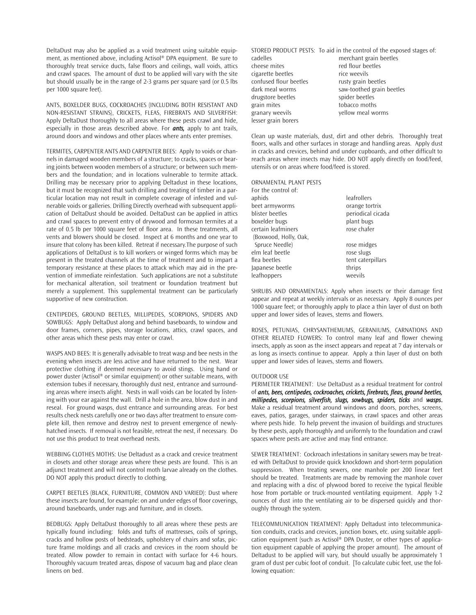DeltaDust may also be applied as a void treatment using suitable equipment, as mentioned above, including Actisol® DPA equipment. Be sure to thoroughly treat service ducts, false floors and ceilings, wall voids, attics and crawl spaces. The amount of dust to be applied will vary with the site but should usually be in the range of 2-3 grams per square yard (or 0.5 lbs per 1000 square feet).

ANTS, BOXELDER BUGS, COCKROACHES (INCLUDING BOTH RESISTANT AND NON-RESISTANT STRAINS), CRICKETS, FLEAS, FIREBRATS AND SILVERFISH: Apply DeltaDust thoroughly to all areas where these pests crawl and hide, especially in those areas described above. For *ants,* apply to ant trails, around doors and windows and other places where ants enter premises.

TERMITES, CARPENTER ANTS AND CARPENTER BEES: Apply to voids or channels in damaged wooden members of a structure; to cracks, spaces or bearing joints between wooden members of a structure; or between such members and the foundation; and in locations vulnerable to termite attack. Drilling may be necessary prior to applying Deltadust in these locations, but it must be recognized that such drilling and treating of timber in a particular location may not result in complete coverage of infested and vulnerable voids or galleries. Drilling Directly overhead with subsequent application of DeltaDust should be avoided. DeltaDust can be applied in attics and crawl spaces to prevent entry of drywood and formosan termites at a rate of 0.5 lb per 1000 square feet of floor area. In these treatments, all vents and blowers should be closed. Inspect at 6 months and one year to insure that colony has been killed. Retreat if necessary.The purpose of such applications of DeltaDust is to kill workers or winged forms which may be present in the treated channels at the time of treatment and to impart a temporary resistance at these places to attack which may aid in the prevention of immediate reinfestation. Such applications are not a substitute for mechanical alteration, soil treatment or foundation treatment but merely a supplement. This supplemental treatment can be particularly supportive of new construction.

CENTIPEDES, GROUND BEETLES, MILLIPEDES, SCORPIONS, SPIDERS AND SOWBUGS: Apply DeltaDust along and behind baseboards, to window and door frames, corners, pipes, storage locations, attics, crawl spaces, and other areas which these pests may enter or crawl.

WASPS AND BEES: It is generally advisable to treat wasp and bee nests in the evening when insects are less active and have returned to the nest. Wear protective clothing if deemed necessary to avoid stings. Using hand or power duster (Actisol® or similar equipment) or other suitable means, with extension tubes if necessary, thoroughly dust nest, entrance and surrounding areas where insects alight. Nests in wall voids can be located by listening with your ear against the wall. Drill a hole in the area, blow dust in and reseal. For ground wasps, dust entrance and surrounding areas. For best results check nests carefully one or two days after treatment to ensure complete kill, then remove and destroy nest to prevent emergence of newlyhatched insects. If removal is not feasible, retreat the nest, if necessary. Do not use this product to treat overhead nests.

WEBBING CLOTHES MOTHS: Use Deltadust as a crack and crevice treatment in closets and other storage areas where these pests are found. This is an adjunct treatment and will not control moth larvae already on the clothes. DO NOT apply this product directly to clothing.

CARPET BEETLES (BLACK, FURNITURE, COMMON AND VARIED): Dust where these insects are found, for example: on and under edges of floor coverings, around baseboards, under rugs and furniture, and in closets.

BEDBUGS: Apply DeltaDust thoroughly to all areas where these pests are typically found including: folds and tufts of mattresses, coils of springs, cracks and hollow posts of bedsteads, upholstery of chairs and sofas, picture frame moldings and all cracks and crevices in the room should be treated. Allow powder to remain in contact with surface for 4-6 hours. Thoroughly vacuum treated areas, dispose of vacuum bag and place clean linens on bed.

STORED PRODUCT PESTS: To aid in the control of the exposed stages of: cadelles merchant grain beetles cheese mites red flour beetles cigarette beetles rice weevils confused flour beetles rusty grain beetles dark meal worms saw-toothed grain beetles drugstore beetles spider beetles grain mites tobacco moths granary weevils yellow meal worms lesser grain borers

Clean up waste materials, dust, dirt and other debris. Thoroughly treat floors, walls and other surfaces in storage and handling areas. Apply dust in cracks and crevices, behind and under cupboards, and other difficult to reach areas where insects may hide. DO NOT apply directly on food/feed, utensils or on areas where food/feed is stored.

ORNAMENTAL PLANT PESTS

| leafrollers       |
|-------------------|
| orange tortrix    |
| periodical cicada |
| plant bugs        |
| rose chafer       |
|                   |
| rose midges       |
| rose slugs        |
| tent caterpillars |
| thrips            |
| weevils           |
|                   |

SHRUBS AND ORNAMENTALS: Apply when insects or their damage first appear and repeat at weekly intervals or as necessary. Apply 8 ounces per 1000 square feet; or thoroughly apply to place a thin layer of dust on both upper and lower sides of leaves, stems and flowers.

ROSES, PETUNIAS, CHRYSANTHEMUMS, GERANIUMS, CARNATIONS AND OTHER RELATED FLOWERS: To control many leaf and flower chewing insects, apply as soon as the insect appears and repeat at 7 day intervals or as long as insects continue to appear. Apply a thin layer of dust on both upper and lower sides of leaves, stems and flowers.

#### OUTDOOR USE

PERIMETER TREATMENT: Use DeltaDust as a residual treatment for control of *ants, bees, centipedes, cockroaches, crickets, firebrats, fleas, ground beetles, millipedes, scorpions, silverfish, slugs, sowbugs, spiders, ticks* and *wasps*. Make a residual treatment around windows and doors, porches, screens, eaves, patios, garages, under stairways, in crawl spaces and other areas where pests hide. To help prevent the invasion of buildings and structures by these pests, apply thoroughly and uniformly to the foundation and crawl spaces where pests are active and may find entrance.

SEWER TREATMENT: Cockroach infestations in sanitary sewers may be treated with DeltaDust to provide quick knockdown and short-term population suppression. When treating sewers, one manhole per 200 linear feet should be treated. Treatments are made by removing the manhole cover and replacing with a disc of plywood bored to receive the typical flexible hose from portable or truck-mounted ventilating equipment. Apply 1-2 ounces of dust into the ventilating air to be dispersed quickly and thoroughly through the system.

TELECOMMUNICATION TREATMENT: Apply Deltadust into telecommunication conduits, cracks and crevices, junction boxes, etc. using suitable application equipment (such as Actisol® DPA Duster, or other types of application equipment capable of applying the proper amount). The amount of Deltadust to be applied will vary, but should usually be approximately 1 gram of dust per cubic foot of conduit. [To calculate cubic feet, use the following equation: